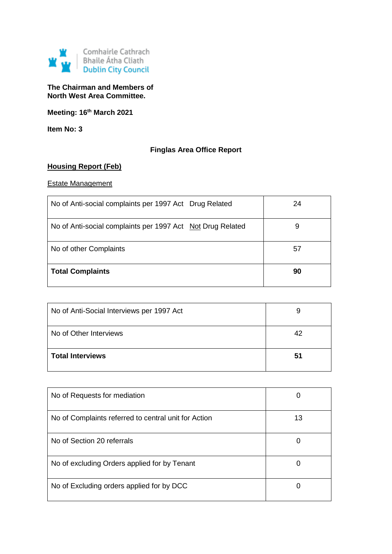

## **The Chairman and Members of North West Area Committee.**

**Meeting: 16th March 2021**

**Item No: 3**

# **Finglas Area Office Report**

# **Housing Report (Feb)**

### Estate Management

| No of Anti-social complaints per 1997 Act Drug Related     | 24 |
|------------------------------------------------------------|----|
| No of Anti-social complaints per 1997 Act Not Drug Related | 9  |
| No of other Complaints                                     | 57 |
| <b>Total Complaints</b>                                    | 90 |

| No of Anti-Social Interviews per 1997 Act | 9  |
|-------------------------------------------|----|
| No of Other Interviews                    | 42 |
| <b>Total Interviews</b>                   | 51 |

| No of Requests for mediation                         | U  |
|------------------------------------------------------|----|
| No of Complaints referred to central unit for Action | 13 |
| No of Section 20 referrals                           | O  |
| No of excluding Orders applied for by Tenant         | Ü  |
| No of Excluding orders applied for by DCC            | O  |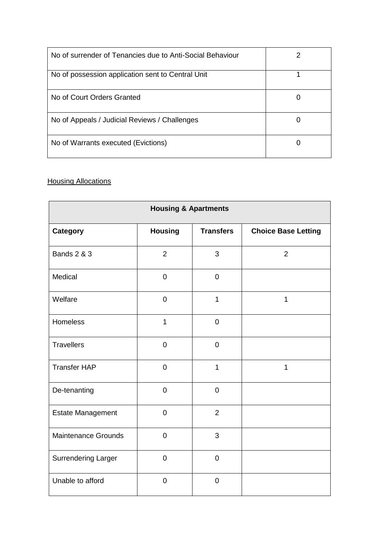| No of surrender of Tenancies due to Anti-Social Behaviour |   |
|-----------------------------------------------------------|---|
| No of possession application sent to Central Unit         |   |
| No of Court Orders Granted                                |   |
| No of Appeals / Judicial Reviews / Challenges             | 0 |
| No of Warrants executed (Evictions)                       |   |

# **Housing Allocations**

| <b>Housing &amp; Apartments</b> |                |                  |                            |
|---------------------------------|----------------|------------------|----------------------------|
| <b>Category</b>                 | <b>Housing</b> | <b>Transfers</b> | <b>Choice Base Letting</b> |
| <b>Bands 2 &amp; 3</b>          | $\overline{2}$ | 3                | $\overline{2}$             |
| Medical                         | $\mathbf 0$    | $\mathbf 0$      |                            |
| Welfare                         | $\mathbf 0$    | $\mathbf{1}$     | 1                          |
| Homeless                        | $\mathbf{1}$   | $\mathbf 0$      |                            |
| <b>Travellers</b>               | $\pmb{0}$      | $\overline{0}$   |                            |
| <b>Transfer HAP</b>             | $\mathbf 0$    | $\mathbf{1}$     | $\mathbf{1}$               |
| De-tenanting                    | $\mathbf 0$    | $\overline{0}$   |                            |
| <b>Estate Management</b>        | $\pmb{0}$      | $\overline{2}$   |                            |
| <b>Maintenance Grounds</b>      | $\mathbf 0$    | 3                |                            |
| <b>Surrendering Larger</b>      | $\mathbf 0$    | $\mathbf 0$      |                            |
| Unable to afford                | $\overline{0}$ | $\overline{0}$   |                            |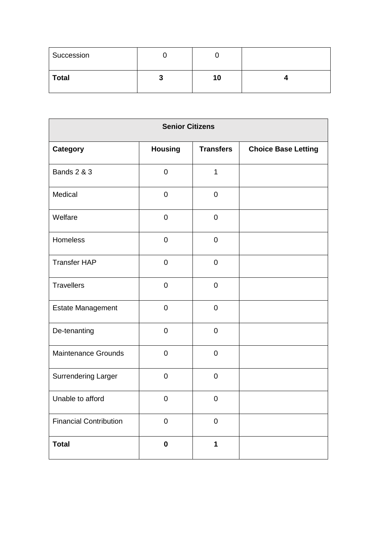| Succession   |   |    |  |
|--------------|---|----|--|
| <b>Total</b> | w | 10 |  |

| <b>Senior Citizens</b>        |                |                  |                            |
|-------------------------------|----------------|------------------|----------------------------|
| <b>Category</b>               | <b>Housing</b> | <b>Transfers</b> | <b>Choice Base Letting</b> |
| <b>Bands 2 &amp; 3</b>        | $\mathbf 0$    | $\mathbf{1}$     |                            |
| Medical                       | $\mathbf 0$    | $\mathbf 0$      |                            |
| Welfare                       | $\mathbf 0$    | $\mathbf 0$      |                            |
| Homeless                      | $\mathbf 0$    | $\mathbf 0$      |                            |
| <b>Transfer HAP</b>           | $\mathbf 0$    | $\mathbf 0$      |                            |
| <b>Travellers</b>             | $\pmb{0}$      | $\mathbf 0$      |                            |
| <b>Estate Management</b>      | $\mathbf 0$    | $\mathbf 0$      |                            |
| De-tenanting                  | $\mathbf 0$    | $\overline{0}$   |                            |
| <b>Maintenance Grounds</b>    | $\overline{0}$ | $\mathbf 0$      |                            |
| <b>Surrendering Larger</b>    | $\mathbf 0$    | $\overline{0}$   |                            |
| Unable to afford              | $\mathbf 0$    | $\mathbf 0$      |                            |
| <b>Financial Contribution</b> | $\pmb{0}$      | $\mathbf 0$      |                            |
| <b>Total</b>                  | $\mathbf 0$    | 1                |                            |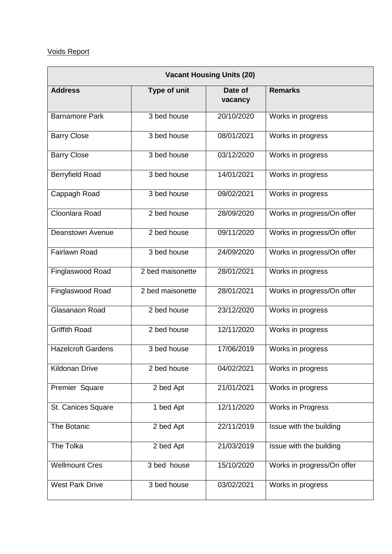# Voids Report

| <b>Vacant Housing Units (20)</b> |                  |                    |                            |
|----------------------------------|------------------|--------------------|----------------------------|
| <b>Address</b>                   | Type of unit     | Date of<br>vacancy | <b>Remarks</b>             |
| <b>Barnamore Park</b>            | 3 bed house      | 20/10/2020         | Works in progress          |
| <b>Barry Close</b>               | $3$ bed house    | 08/01/2021         | Works in progress          |
| <b>Barry Close</b>               | 3 bed house      | 03/12/2020         | Works in progress          |
| Berryfield Road                  | $3$ bed house    | 14/01/2021         | Works in progress          |
| Cappagh Road                     | 3 bed house      | 09/02/2021         | Works in progress          |
| Cloonlara Road                   | 2 bed house      | 28/09/2020         | Works in progress/On offer |
| <b>Deanstown Avenue</b>          | 2 bed house      | 09/11/2020         | Works in progress/On offer |
| <b>Fairlawn Road</b>             | 3 bed house      | 24/09/2020         | Works in progress/On offer |
| Finglaswood Road                 | 2 bed maisonette | 28/01/2021         | Works in progress          |
| Finglaswood Road                 | 2 bed maisonette | 28/01/2021         | Works in progress/On offer |
| Glasanaon Road                   | 2 bed house      | 23/12/2020         | Works in progress          |
| <b>Griffith Road</b>             | 2 bed house      | 12/11/2020         | Works in progress          |
| <b>Hazelcroft Gardens</b>        | 3 bed house      | 17/06/2019         | Works in progress          |
| Kildonan Drive                   | 2 bed house      | 04/02/2021         | Works in progress          |
| Premier Square                   | 2 bed Apt        | 21/01/2021         | Works in progress          |
| St. Canices Square               | 1 bed Apt        | 12/11/2020         | Works in Progress          |
| The Botanic                      | 2 bed Apt        | 22/11/2019         | Issue with the building    |
| The Tolka                        | 2 bed Apt        | 21/03/2019         | Issue with the building    |
| <b>Wellmount Cres</b>            | 3 bed house      | 15/10/2020         | Works in progress/On offer |
| <b>West Park Drive</b>           | 3 bed house      | 03/02/2021         | Works in progress          |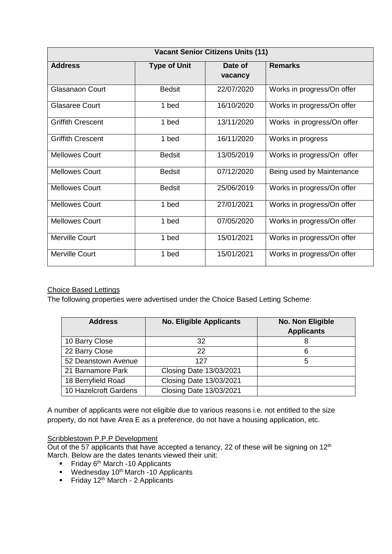| <b>Vacant Senior Citizens Units (11)</b> |                     |                    |                            |
|------------------------------------------|---------------------|--------------------|----------------------------|
| <b>Address</b>                           | <b>Type of Unit</b> | Date of<br>vacancy | <b>Remarks</b>             |
| Glasanaon Court                          | <b>Bedsit</b>       | 22/07/2020         | Works in progress/On offer |
| Glasaree Court                           | 1 bed               | 16/10/2020         | Works in progress/On offer |
| <b>Griffith Crescent</b>                 | 1 bed               | 13/11/2020         | Works in progress/On offer |
| <b>Griffith Crescent</b>                 | 1 bed               | 16/11/2020         | Works in progress          |
| <b>Mellowes Court</b>                    | <b>Bedsit</b>       | 13/05/2019         | Works in progress/On offer |
| <b>Mellowes Court</b>                    | <b>Bedsit</b>       | 07/12/2020         | Being used by Maintenance  |
| <b>Mellowes Court</b>                    | <b>Bedsit</b>       | 25/06/2019         | Works in progress/On offer |
| <b>Mellowes Court</b>                    | 1 bed               | 27/01/2021         | Works in progress/On offer |
| <b>Mellowes Court</b>                    | 1 bed               | 07/05/2020         | Works in progress/On offer |
| Merville Court                           | 1 bed               | 15/01/2021         | Works in progress/On offer |
| <b>Merville Court</b>                    | 1 bed               | 15/01/2021         | Works in progress/On offer |

## Choice Based Lettings

The following properties were advertised under the Choice Based Letting Scheme:

| <b>Address</b>        | <b>No. Eligible Applicants</b> | No. Non Eligible<br><b>Applicants</b> |
|-----------------------|--------------------------------|---------------------------------------|
| 10 Barry Close        | 32                             | 8                                     |
| 22 Barry Close        | 22                             | 6                                     |
| 52 Deanstown Avenue   | 127                            | 5                                     |
| 21 Barnamore Park     | <b>Closing Date 13/03/2021</b> |                                       |
| 18 Berryfield Road    | <b>Closing Date 13/03/2021</b> |                                       |
| 10 Hazelcroft Gardens | <b>Closing Date 13/03/2021</b> |                                       |

A number of applicants were not eligible due to various reasons i.e. not entitled to the size property, do not have Area E as a preference, do not have a housing application, etc.

## **Scribblestown P.P.P Development**

Out of the 57 applicants that have accepted a tenancy, 22 of these will be signing on  $12<sup>th</sup>$ March. Below are the dates tenants viewed their unit:

- Friday  $6<sup>th</sup>$  March -10 Applicants
- $W$ ednesday 10<sup>th</sup> March -10 Applicants
- Friday  $12<sup>th</sup>$  March 2 Applicants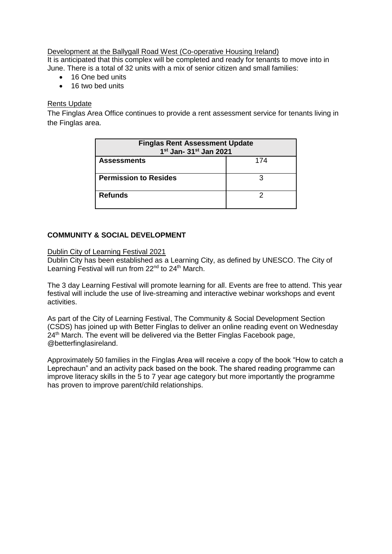Development at the Ballygall Road West (Co-operative Housing Ireland) It is anticipated that this complex will be completed and ready for tenants to move into in June. There is a total of 32 units with a mix of senior citizen and small families:

- 16 One bed units
- 16 two bed units

## Rents Update

The Finglas Area Office continues to provide a rent assessment service for tenants living in the Finglas area.

| <b>Finglas Rent Assessment Update</b><br>1 <sup>st</sup> Jan- 31 <sup>st</sup> Jan 2021 |  |  |  |
|-----------------------------------------------------------------------------------------|--|--|--|
| 174<br><b>Assessments</b>                                                               |  |  |  |
| <b>Permission to Resides</b>                                                            |  |  |  |
| <b>Refunds</b>                                                                          |  |  |  |

## **COMMUNITY & SOCIAL DEVELOPMENT**

#### Dublin City of Learning Festival 2021

Dublin City has been established as a Learning City, as defined by UNESCO. The City of Learning Festival will run from 22<sup>nd</sup> to 24<sup>th</sup> March.

The 3 day Learning Festival will promote learning for all. Events are free to attend. This year festival will include the use of live-streaming and interactive webinar workshops and event activities.

As part of the City of Learning Festival, The Community & Social Development Section (CSDS) has joined up with Better Finglas to deliver an online reading event on Wednesday 24<sup>th</sup> March. The event will be delivered via the Better Finglas Facebook page, @betterfinglasireland.

Approximately 50 families in the Finglas Area will receive a copy of the book "How to catch a Leprechaun" and an activity pack based on the book. The shared reading programme can improve literacy skills in the 5 to 7 year age category but more importantly the programme has proven to improve parent/child relationships.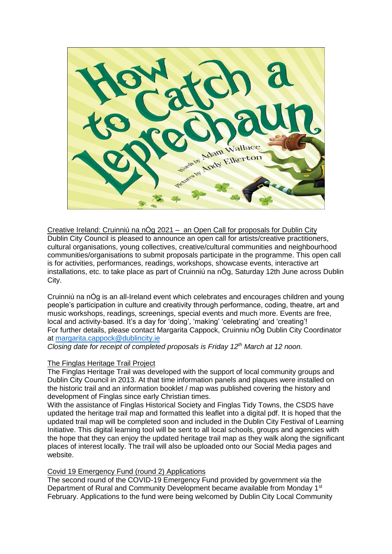

Creative Ireland: Cruinniú na nÓg 2021 – an Open Call for proposals for Dublin City Dublin City Council is pleased to announce an open call for artists/creative practitioners, cultural organisations, young collectives, creative/cultural communities and neighbourhood communities/organisations to submit proposals participate in the programme. This open call is for activities, performances, readings, workshops, showcase events, interactive art installations, etc. to take place as part of Cruinniú na nÓg, Saturday 12th June across Dublin City.

Cruinniú na nÓg is an all-Ireland event which celebrates and encourages children and young people's participation in culture and creativity through performance, coding, theatre, art and music workshops, readings, screenings, special events and much more. Events are free, local and activity-based. It's a day for 'doing', 'making' 'celebrating' and 'creating'! For further details, please contact Margarita Cappock, Cruinniu nÓg Dublin City Coordinator at [margarita.cappock@dublincity.ie](mailto:margarita.cappock@dublincity.ie)

*Closing date for receipt of completed proposals is Friday 12th March at 12 noon.*

#### The Finglas Heritage Trail Project

The Finglas Heritage Trail was developed with the support of local community groups and Dublin City Council in 2013. At that time information panels and plaques were installed on the historic trail and an information booklet / map was published covering the history and development of Finglas since early Christian times.

With the assistance of Finglas Historical Society and Finglas Tidy Towns, the CSDS have updated the heritage trail map and formatted this leaflet into a digital pdf. It is hoped that the updated trail map will be completed soon and included in the Dublin City Festival of Learning Initiative. This digital learning tool will be sent to all local schools, groups and agencies with the hope that they can enjoy the updated heritage trail map as they walk along the significant places of interest locally. The trail will also be uploaded onto our Social Media pages and website.

#### Covid 19 Emergency Fund (round 2) Applications

The second round of the COVID-19 Emergency Fund provided by government *via* the Department of Rural and Community Development became available from Monday 1<sup>st</sup> February. Applications to the fund were being welcomed by Dublin City Local Community